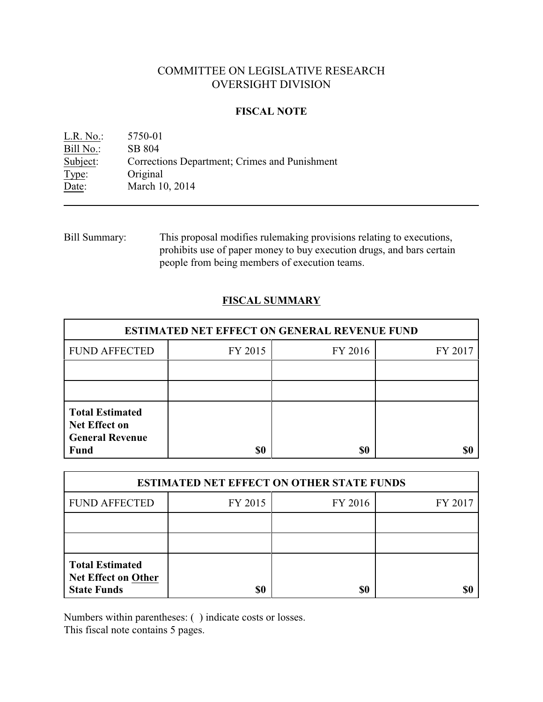# COMMITTEE ON LEGISLATIVE RESEARCH OVERSIGHT DIVISION

# **FISCAL NOTE**

L.R. No.: 5750-01 Bill No.: SB 804<br>Subject: Correcti Corrections Department; Crimes and Punishment Type: Original Date: March 10, 2014

Bill Summary: This proposal modifies rulemaking provisions relating to executions, prohibits use of paper money to buy execution drugs, and bars certain people from being members of execution teams.

# **FISCAL SUMMARY**

| <b>ESTIMATED NET EFFECT ON GENERAL REVENUE FUND</b>                                     |         |         |         |  |
|-----------------------------------------------------------------------------------------|---------|---------|---------|--|
| <b>FUND AFFECTED</b>                                                                    | FY 2015 | FY 2016 | FY 2017 |  |
|                                                                                         |         |         |         |  |
|                                                                                         |         |         |         |  |
| <b>Total Estimated</b><br><b>Net Effect on</b><br><b>General Revenue</b><br><b>Fund</b> | \$0     | \$0     |         |  |

| <b>ESTIMATED NET EFFECT ON OTHER STATE FUNDS</b>                           |         |         |         |  |
|----------------------------------------------------------------------------|---------|---------|---------|--|
| <b>FUND AFFECTED</b>                                                       | FY 2015 | FY 2016 | FY 2017 |  |
|                                                                            |         |         |         |  |
|                                                                            |         |         |         |  |
| <b>Total Estimated</b><br><b>Net Effect on Other</b><br><b>State Funds</b> | \$0     | \$0     |         |  |

Numbers within parentheses: ( ) indicate costs or losses.

This fiscal note contains 5 pages.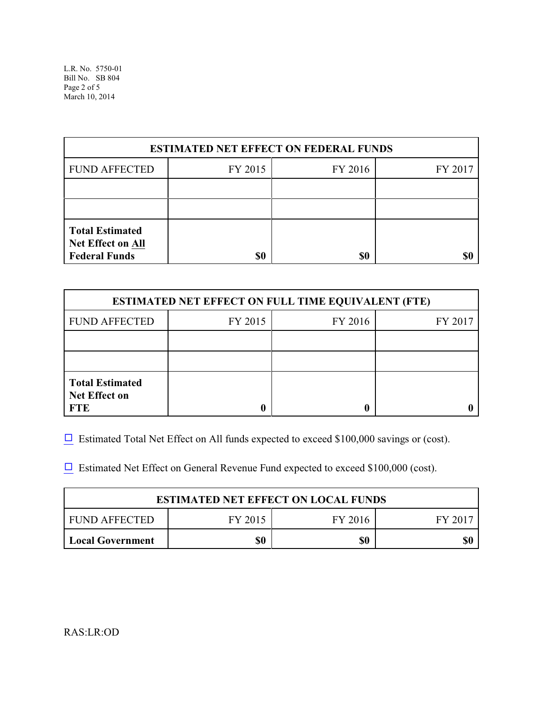L.R. No. 5750-01 Bill No. SB 804 Page 2 of 5 March 10, 2014

| <b>ESTIMATED NET EFFECT ON FEDERAL FUNDS</b>                        |         |         |         |  |
|---------------------------------------------------------------------|---------|---------|---------|--|
| <b>FUND AFFECTED</b>                                                | FY 2015 | FY 2016 | FY 2017 |  |
|                                                                     |         |         |         |  |
|                                                                     |         |         |         |  |
| <b>Total Estimated</b><br>Net Effect on All<br><b>Federal Funds</b> | \$0     | \$0     |         |  |

| <b>ESTIMATED NET EFFECT ON FULL TIME EQUIVALENT (FTE)</b>    |         |         |         |  |
|--------------------------------------------------------------|---------|---------|---------|--|
| <b>FUND AFFECTED</b>                                         | FY 2015 | FY 2016 | FY 2017 |  |
|                                                              |         |         |         |  |
|                                                              |         |         |         |  |
| <b>Total Estimated</b><br><b>Net Effect on</b><br><b>FTE</b> |         |         |         |  |

 $\Box$  Estimated Total Net Effect on All funds expected to exceed \$100,000 savings or (cost).

 $\Box$  Estimated Net Effect on General Revenue Fund expected to exceed \$100,000 (cost).

| <b>ESTIMATED NET EFFECT ON LOCAL FUNDS</b> |         |         |         |  |
|--------------------------------------------|---------|---------|---------|--|
| FUND AFFECTED                              | FY 2015 | FY 2016 | FY 2017 |  |
| <b>Local Government</b>                    | \$0     | \$0     |         |  |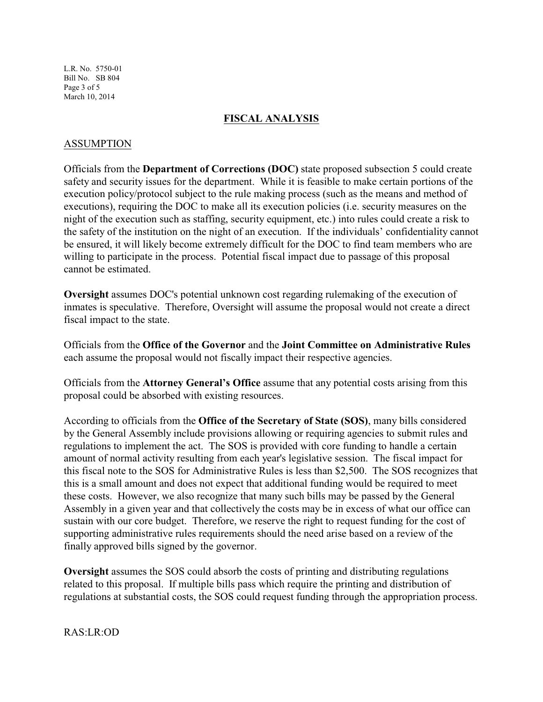L.R. No. 5750-01 Bill No. SB 804 Page 3 of 5 March 10, 2014

#### **FISCAL ANALYSIS**

# ASSUMPTION

Officials from the **Department of Corrections (DOC)** state proposed subsection 5 could create safety and security issues for the department. While it is feasible to make certain portions of the execution policy/protocol subject to the rule making process (such as the means and method of executions), requiring the DOC to make all its execution policies (i.e. security measures on the night of the execution such as staffing, security equipment, etc.) into rules could create a risk to the safety of the institution on the night of an execution. If the individuals' confidentiality cannot be ensured, it will likely become extremely difficult for the DOC to find team members who are willing to participate in the process. Potential fiscal impact due to passage of this proposal cannot be estimated.

**Oversight** assumes DOC's potential unknown cost regarding rulemaking of the execution of inmates is speculative. Therefore, Oversight will assume the proposal would not create a direct fiscal impact to the state.

Officials from the **Office of the Governor** and the **Joint Committee on Administrative Rules** each assume the proposal would not fiscally impact their respective agencies.

Officials from the **Attorney General's Office** assume that any potential costs arising from this proposal could be absorbed with existing resources.

According to officials from the **Office of the Secretary of State (SOS)**, many bills considered by the General Assembly include provisions allowing or requiring agencies to submit rules and regulations to implement the act. The SOS is provided with core funding to handle a certain amount of normal activity resulting from each year's legislative session. The fiscal impact for this fiscal note to the SOS for Administrative Rules is less than \$2,500. The SOS recognizes that this is a small amount and does not expect that additional funding would be required to meet these costs. However, we also recognize that many such bills may be passed by the General Assembly in a given year and that collectively the costs may be in excess of what our office can sustain with our core budget. Therefore, we reserve the right to request funding for the cost of supporting administrative rules requirements should the need arise based on a review of the finally approved bills signed by the governor.

**Oversight** assumes the SOS could absorb the costs of printing and distributing regulations related to this proposal. If multiple bills pass which require the printing and distribution of regulations at substantial costs, the SOS could request funding through the appropriation process.

RAS:LR:OD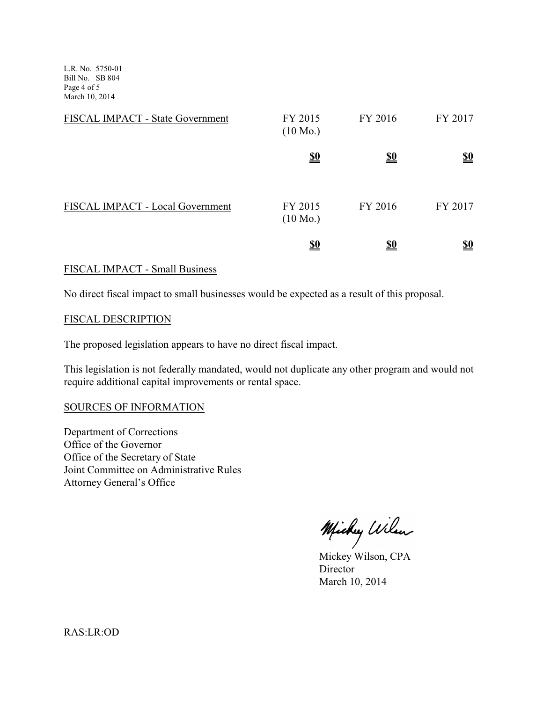L.R. No. 5750-01 Bill No. SB 804 Page 4 of 5 March 10, 2014

| FISCAL IMPACT - State Government | FY 2015<br>$(10 \text{ Mo.})$ | FY 2016    | FY 2017    |
|----------------------------------|-------------------------------|------------|------------|
|                                  | <u>\$0</u>                    | <u>\$0</u> | <u>\$0</u> |
| FISCAL IMPACT - Local Government | FY 2015<br>$(10 \text{ Mo.})$ | FY 2016    | FY 2017    |
|                                  | <u>\$0</u>                    |            | <u>\$0</u> |

#### FISCAL IMPACT - Small Business

No direct fiscal impact to small businesses would be expected as a result of this proposal.

#### FISCAL DESCRIPTION

The proposed legislation appears to have no direct fiscal impact.

This legislation is not federally mandated, would not duplicate any other program and would not require additional capital improvements or rental space.

# SOURCES OF INFORMATION

Department of Corrections Office of the Governor Office of the Secretary of State Joint Committee on Administrative Rules Attorney General's Office

Michy Wilen

Mickey Wilson, CPA **Director** March 10, 2014

RAS:LR:OD